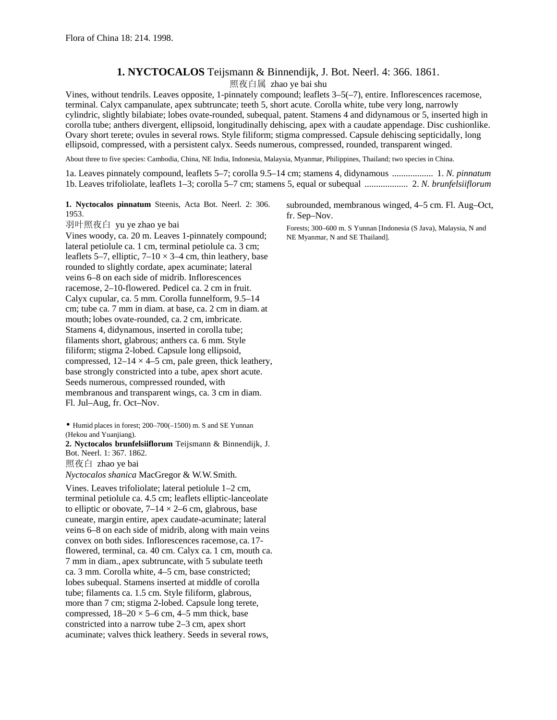## **1. NYCTOCALOS** Teijsmann & Binnendijk, J. Bot. Neerl. 4: 366. 1861.

照夜白属 zhao ye bai shu

Vines, without tendrils. Leaves opposite, 1-pinnately compound; leaflets 3–5(–7), entire. Inflorescences racemose, terminal. Calyx campanulate, apex subtruncate; teeth 5, short acute. Corolla white, tube very long, narrowly cylindric, slightly bilabiate; lobes ovate-rounded, subequal, patent. Stamens 4 and didynamous or 5, inserted high in corolla tube; anthers divergent, ellipsoid, longitudinally dehiscing, apex with a caudate appendage. Disc cushionlike. Ovary short terete; ovules in several rows. Style filiform; stigma compressed. Capsule dehiscing septicidally, long ellipsoid, compressed, with a persistent calyx. Seeds numerous, compressed, rounded, transparent winged.

About three to five species: Cambodia, China, NE India, Indonesia, Malaysia, Myanmar, Philippines, Thailand; two species in China.

1a. Leaves pinnately compound, leaflets 5–7; corolla 9.5–14 cm; stamens 4, didynamous .................. 1. *N. pinnatum* 1b. Leaves trifoliolate, leaflets 1–3; corolla 5–7 cm; stamens 5, equal or subequal ................... 2. *N. brunfelsiiflorum*

**1. Nyctocalos pinnatum** Steenis, Acta Bot. Neerl. 2: 306. 1953.

羽叶照夜白 yu ye zhao ye bai Vines woody, ca. 20 m. Leaves 1-pinnately compound; lateral petiolule ca. 1 cm, terminal petiolule ca. 3 cm; leaflets 5–7, elliptic,  $7-10 \times 3-4$  cm, thin leathery, base rounded to slightly cordate, apex acuminate; lateral veins 6–8 on each side of midrib. Inflorescences racemose, 2–10-flowered. Pedicel ca. 2 cm in fruit. Calyx cupular, ca. 5 mm. Corolla funnelform, 9.5–14 cm; tube ca. 7 mm in diam. at base, ca. 2 cm in diam. at mouth; lobes ovate-rounded, ca. 2 cm, imbricate. Stamens 4, didynamous, inserted in corolla tube; filaments short, glabrous; anthers ca. 6 mm. Style filiform; stigma 2-lobed. Capsule long ellipsoid, compressed,  $12-14 \times 4-5$  cm, pale green, thick leathery, base strongly constricted into a tube, apex short acute. Seeds numerous, compressed rounded, with membranous and transparent wings, ca. 3 cm in diam. Fl. Jul–Aug, fr. Oct–Nov.

• Humid places in forest; 200–700(–1500) m. S and SE Yunnan (Hekou and Yuanjiang).

**2. Nyctocalos brunfelsiiflorum** Teijsmann & Binnendijk, J. Bot. Neerl. 1: 367. 1862.

照夜白 zhao ye bai

*Nyctocalos shanica* MacGregor & W.W. Smith.

Vines. Leaves trifoliolate; lateral petiolule 1–2 cm, terminal petiolule ca. 4.5 cm; leaflets elliptic-lanceolate to elliptic or obovate,  $7-14 \times 2-6$  cm, glabrous, base cuneate, margin entire, apex caudate-acuminate; lateral veins 6–8 on each side of midrib, along with main veins convex on both sides. Inflorescences racemose, ca. 17 flowered, terminal, ca. 40 cm. Calyx ca. 1 cm, mouth ca. 7 mm in diam., apex subtruncate, with 5 subulate teeth ca. 3 mm. Corolla white, 4–5 cm, base constricted; lobes subequal. Stamens inserted at middle of corolla tube; filaments ca. 1.5 cm. Style filiform, glabrous, more than 7 cm; stigma 2-lobed. Capsule long terete, compressed,  $18-20 \times 5-6$  cm, 4-5 mm thick, base constricted into a narrow tube 2–3 cm, apex short acuminate; valves thick leathery. Seeds in several rows,

subrounded, membranous winged, 4–5 cm. Fl. Aug–Oct, fr. Sep–Nov.

Forests; 300–600 m. S Yunnan [Indonesia (S Java), Malaysia, N and NE Myanmar, N and SE Thailand].